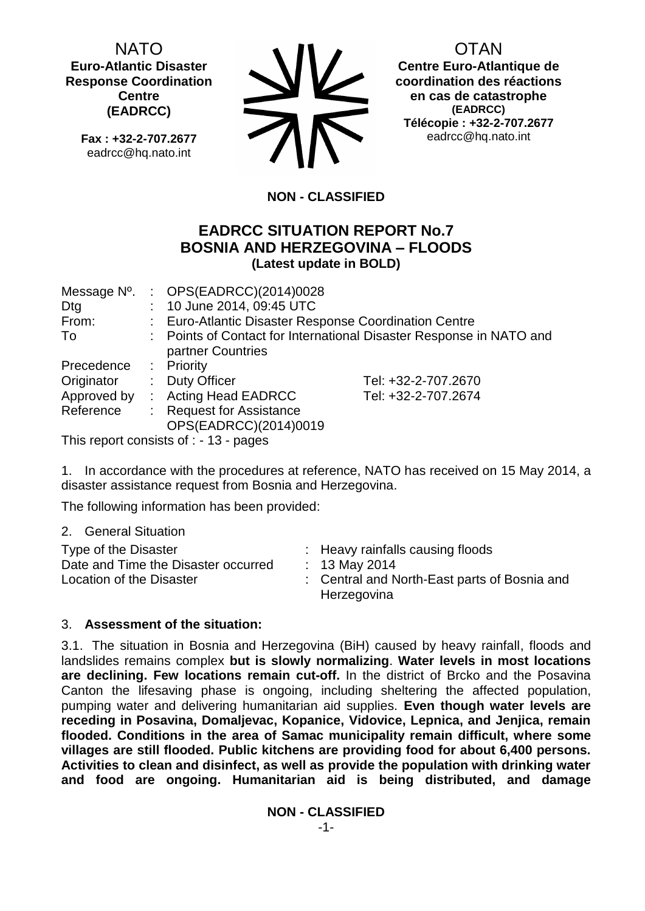NATO **Euro-Atlantic Disaster Response Coordination Centre (EADRCC)**

**Fax : +32-2-707.2677** eadrcc@hq.nato.int



OTAN

**Centre Euro-Atlantique de coordination des réactions en cas de catastrophe (EADRCC) Télécopie : +32-2-707.2677** eadrcc@hq.nato.int

# **NON - CLASSIFIED**

## **EADRCC SITUATION REPORT No.7 BOSNIA AND HERZEGOVINA – FLOODS (Latest update in BOLD)**

| Message N <sup>o</sup> . |                                                                     | : $OPS(EADRCC)(2014)0028$                             |                     |
|--------------------------|---------------------------------------------------------------------|-------------------------------------------------------|---------------------|
| Dtg                      |                                                                     | : 10 June 2014, 09:45 UTC                             |                     |
| From:                    |                                                                     | : Euro-Atlantic Disaster Response Coordination Centre |                     |
| To                       | : Points of Contact for International Disaster Response in NATO and |                                                       |                     |
|                          |                                                                     | partner Countries                                     |                     |
| Precedence               |                                                                     | : Priority                                            |                     |
| Originator               |                                                                     | : Duty Officer                                        | Tel: +32-2-707.2670 |
| Approved by              |                                                                     | : Acting Head EADRCC                                  | Tel: +32-2-707.2674 |
| Reference                |                                                                     | <b>Request for Assistance</b>                         |                     |
|                          |                                                                     | OPS(EADRCC)(2014)0019                                 |                     |
|                          |                                                                     |                                                       |                     |

This report consists of : - 13 - pages

1. In accordance with the procedures at reference, NATO has received on 15 May 2014, a disaster assistance request from Bosnia and Herzegovina.

The following information has been provided:

2. General Situation

| Type of the Disaster<br>Date and Time the Disaster occurred<br>Location of the Disaster | : Heavy rainfalls causing floods<br>: 13 May 2014<br>: Central and North-East parts of Bosnia and<br>Herzegovina |
|-----------------------------------------------------------------------------------------|------------------------------------------------------------------------------------------------------------------|
|-----------------------------------------------------------------------------------------|------------------------------------------------------------------------------------------------------------------|

## 3. **Assessment of the situation:**

3.1. The situation in Bosnia and Herzegovina (BiH) caused by heavy rainfall, floods and landslides remains complex **but is slowly normalizing**. **Water levels in most locations are declining. Few locations remain cut-off.** In the district of Brcko and the Posavina Canton the lifesaving phase is ongoing, including sheltering the affected population, pumping water and delivering humanitarian aid supplies. **Even though water levels are receding in Posavina, Domaljevac, Kopanice, Vidovice, Lepnica, and Jenjica, remain flooded. Conditions in the area of Samac municipality remain difficult, where some villages are still flooded. Public kitchens are providing food for about 6,400 persons. Activities to clean and disinfect, as well as provide the population with drinking water and food are ongoing. Humanitarian aid is being distributed, and damage** 

**NON - CLASSIFIED**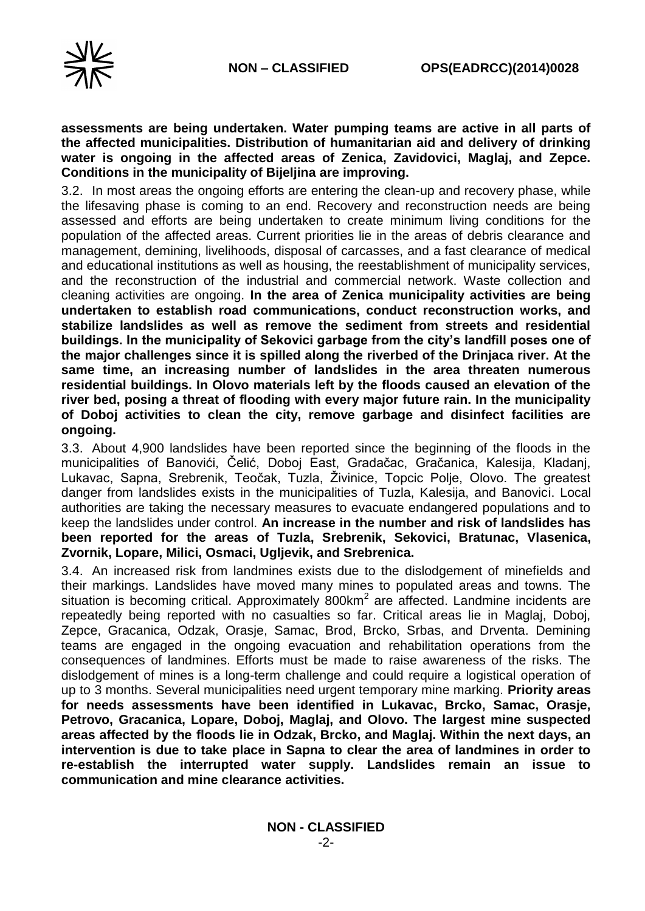



### **assessments are being undertaken. Water pumping teams are active in all parts of the affected municipalities. Distribution of humanitarian aid and delivery of drinking water is ongoing in the affected areas of Zenica, Zavidovici, Maglaj, and Zepce. Conditions in the municipality of Bijeljina are improving.**

3.2. In most areas the ongoing efforts are entering the clean-up and recovery phase, while the lifesaving phase is coming to an end. Recovery and reconstruction needs are being assessed and efforts are being undertaken to create minimum living conditions for the population of the affected areas. Current priorities lie in the areas of debris clearance and management, demining, livelihoods, disposal of carcasses, and a fast clearance of medical and educational institutions as well as housing, the reestablishment of municipality services, and the reconstruction of the industrial and commercial network. Waste collection and cleaning activities are ongoing. **In the area of Zenica municipality activities are being undertaken to establish road communications, conduct reconstruction works, and stabilize landslides as well as remove the sediment from streets and residential buildings. In the municipality of Sekovici garbage from the city's landfill poses one of the major challenges since it is spilled along the riverbed of the Drinjaca river. At the same time, an increasing number of landslides in the area threaten numerous residential buildings. In Olovo materials left by the floods caused an elevation of the river bed, posing a threat of flooding with every major future rain. In the municipality of Doboj activities to clean the city, remove garbage and disinfect facilities are ongoing.** 

3.3. About 4,900 landslides have been reported since the beginning of the floods in the municipalities of Banovići, Čelić, Doboj East, Gradačac, Gračanica, Kalesija, Kladanj, Lukavac, Sapna, Srebrenik, Teočak, Tuzla, Živinice, Topcic Polje, Olovo. The greatest danger from landslides exists in the municipalities of Tuzla, Kalesija, and Banovici. Local authorities are taking the necessary measures to evacuate endangered populations and to keep the landslides under control. **An increase in the number and risk of landslides has been reported for the areas of Tuzla, Srebrenik, Sekovici, Bratunac, Vlasenica, Zvornik, Lopare, Milici, Osmaci, Ugljevik, and Srebrenica.**

3.4. An increased risk from landmines exists due to the dislodgement of minefields and their markings. Landslides have moved many mines to populated areas and towns. The situation is becoming critical. Approximately  $800$ km<sup>2</sup> are affected. Landmine incidents are repeatedly being reported with no casualties so far. Critical areas lie in Maglaj, Doboj, Zepce, Gracanica, Odzak, Orasje, Samac, Brod, Brcko, Srbas, and Drventa. Demining teams are engaged in the ongoing evacuation and rehabilitation operations from the consequences of landmines. Efforts must be made to raise awareness of the risks. The dislodgement of mines is a long-term challenge and could require a logistical operation of up to 3 months. Several municipalities need urgent temporary mine marking. **Priority areas for needs assessments have been identified in Lukavac, Brcko, Samac, Orasje, Petrovo, Gracanica, Lopare, Doboj, Maglaj, and Olovo. The largest mine suspected areas affected by the floods lie in Odzak, Brcko, and Maglaj. Within the next days, an intervention is due to take place in Sapna to clear the area of landmines in order to re-establish the interrupted water supply. Landslides remain an issue to communication and mine clearance activities.**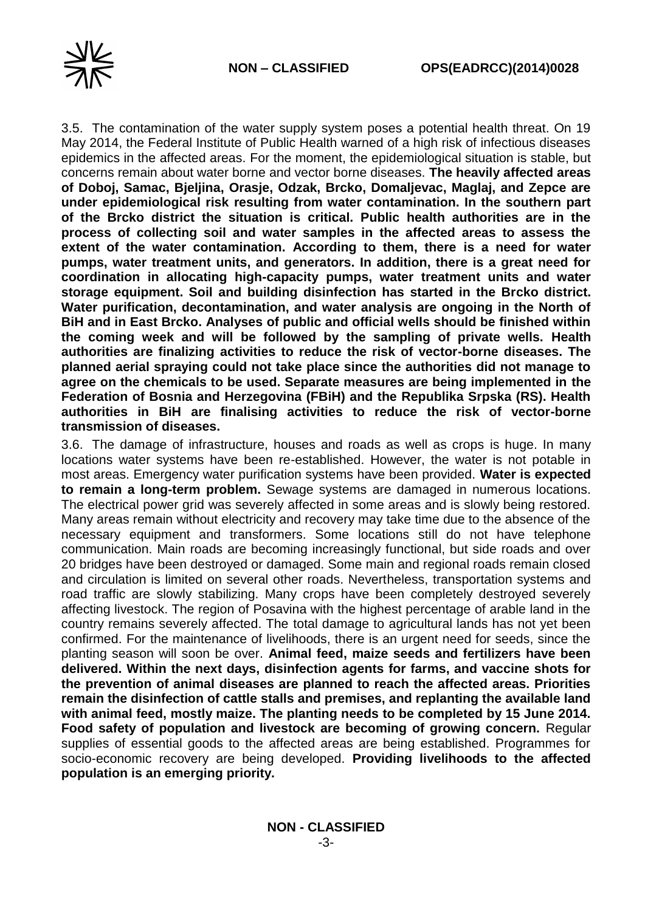

3.5. The contamination of the water supply system poses a potential health threat. On 19 May 2014, the Federal Institute of Public Health warned of a high risk of infectious diseases epidemics in the affected areas. For the moment, the epidemiological situation is stable, but concerns remain about water borne and vector borne diseases. **The heavily affected areas of Doboj, Samac, Bjeljina, Orasje, Odzak, Brcko, Domaljevac, Maglaj, and Zepce are under epidemiological risk resulting from water contamination. In the southern part of the Brcko district the situation is critical. Public health authorities are in the process of collecting soil and water samples in the affected areas to assess the extent of the water contamination. According to them, there is a need for water pumps, water treatment units, and generators. In addition, there is a great need for coordination in allocating high-capacity pumps, water treatment units and water storage equipment. Soil and building disinfection has started in the Brcko district. Water purification, decontamination, and water analysis are ongoing in the North of BiH and in East Brcko. Analyses of public and official wells should be finished within the coming week and will be followed by the sampling of private wells. Health authorities are finalizing activities to reduce the risk of vector-borne diseases. The planned aerial spraying could not take place since the authorities did not manage to agree on the chemicals to be used. Separate measures are being implemented in the Federation of Bosnia and Herzegovina (FBiH) and the Republika Srpska (RS). Health authorities in BiH are finalising activities to reduce the risk of vector-borne transmission of diseases.**

3.6. The damage of infrastructure, houses and roads as well as crops is huge. In many locations water systems have been re-established. However, the water is not potable in most areas. Emergency water purification systems have been provided. **Water is expected to remain a long-term problem.** Sewage systems are damaged in numerous locations. The electrical power grid was severely affected in some areas and is slowly being restored. Many areas remain without electricity and recovery may take time due to the absence of the necessary equipment and transformers. Some locations still do not have telephone communication. Main roads are becoming increasingly functional, but side roads and over 20 bridges have been destroyed or damaged. Some main and regional roads remain closed and circulation is limited on several other roads. Nevertheless, transportation systems and road traffic are slowly stabilizing. Many crops have been completely destroyed severely affecting livestock. The region of Posavina with the highest percentage of arable land in the country remains severely affected. The total damage to agricultural lands has not yet been confirmed. For the maintenance of livelihoods, there is an urgent need for seeds, since the planting season will soon be over. **Animal feed, maize seeds and fertilizers have been delivered. Within the next days, disinfection agents for farms, and vaccine shots for the prevention of animal diseases are planned to reach the affected areas. Priorities remain the disinfection of cattle stalls and premises, and replanting the available land with animal feed, mostly maize. The planting needs to be completed by 15 June 2014. Food safety of population and livestock are becoming of growing concern.** Regular supplies of essential goods to the affected areas are being established. Programmes for socio-economic recovery are being developed. **Providing livelihoods to the affected population is an emerging priority.**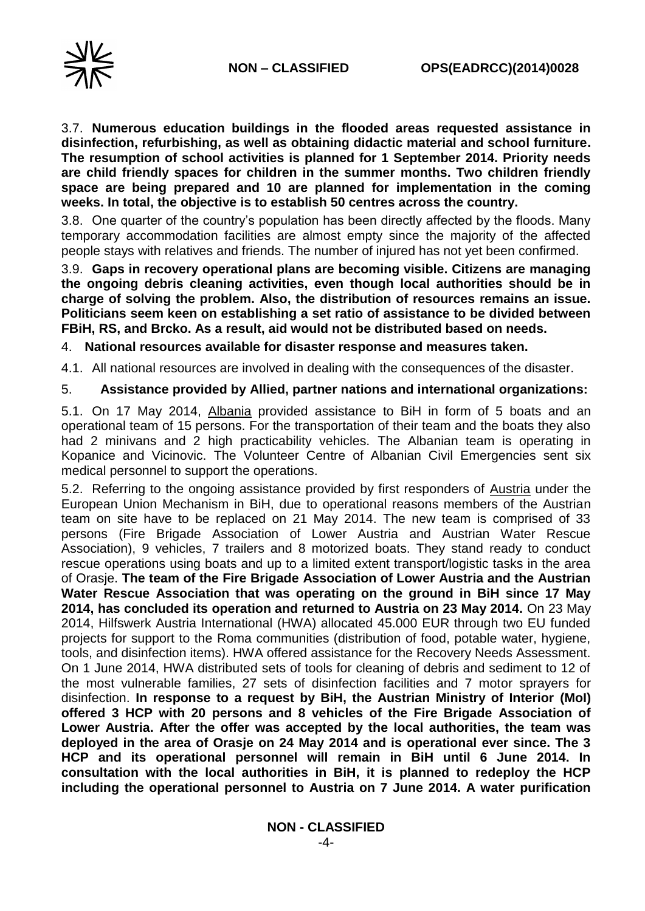

3.7. **Numerous education buildings in the flooded areas requested assistance in disinfection, refurbishing, as well as obtaining didactic material and school furniture. The resumption of school activities is planned for 1 September 2014. Priority needs are child friendly spaces for children in the summer months. Two children friendly space are being prepared and 10 are planned for implementation in the coming weeks. In total, the objective is to establish 50 centres across the country.** 

3.8. One quarter of the country's population has been directly affected by the floods. Many temporary accommodation facilities are almost empty since the majority of the affected people stays with relatives and friends. The number of injured has not yet been confirmed.

3.9. **Gaps in recovery operational plans are becoming visible. Citizens are managing the ongoing debris cleaning activities, even though local authorities should be in charge of solving the problem. Also, the distribution of resources remains an issue. Politicians seem keen on establishing a set ratio of assistance to be divided between FBiH, RS, and Brcko. As a result, aid would not be distributed based on needs.**

4. **National resources available for disaster response and measures taken.** 

4.1. All national resources are involved in dealing with the consequences of the disaster.

5. **Assistance provided by Allied, partner nations and international organizations:**

5.1. On 17 May 2014, Albania provided assistance to BiH in form of 5 boats and an operational team of 15 persons. For the transportation of their team and the boats they also had 2 minivans and 2 high practicability vehicles. The Albanian team is operating in Kopanice and Vicinovic. The Volunteer Centre of Albanian Civil Emergencies sent six medical personnel to support the operations.

5.2. Referring to the ongoing assistance provided by first responders of Austria under the European Union Mechanism in BiH, due to operational reasons members of the Austrian team on site have to be replaced on 21 May 2014. The new team is comprised of 33 persons (Fire Brigade Association of Lower Austria and Austrian Water Rescue Association), 9 vehicles, 7 trailers and 8 motorized boats. They stand ready to conduct rescue operations using boats and up to a limited extent transport/logistic tasks in the area of Orasje. **The team of the Fire Brigade Association of Lower Austria and the Austrian Water Rescue Association that was operating on the ground in BiH since 17 May 2014, has concluded its operation and returned to Austria on 23 May 2014.** On 23 May 2014, Hilfswerk Austria International (HWA) allocated 45.000 EUR through two EU funded projects for support to the Roma communities (distribution of food, potable water, hygiene, tools, and disinfection items). HWA offered assistance for the Recovery Needs Assessment. On 1 June 2014, HWA distributed sets of tools for cleaning of debris and sediment to 12 of the most vulnerable families, 27 sets of disinfection facilities and 7 motor sprayers for disinfection. **In response to a request by BiH, the Austrian Ministry of Interior (MoI) offered 3 HCP with 20 persons and 8 vehicles of the Fire Brigade Association of Lower Austria. After the offer was accepted by the local authorities, the team was deployed in the area of Orasje on 24 May 2014 and is operational ever since. The 3 HCP and its operational personnel will remain in BiH until 6 June 2014. In consultation with the local authorities in BiH, it is planned to redeploy the HCP including the operational personnel to Austria on 7 June 2014. A water purification**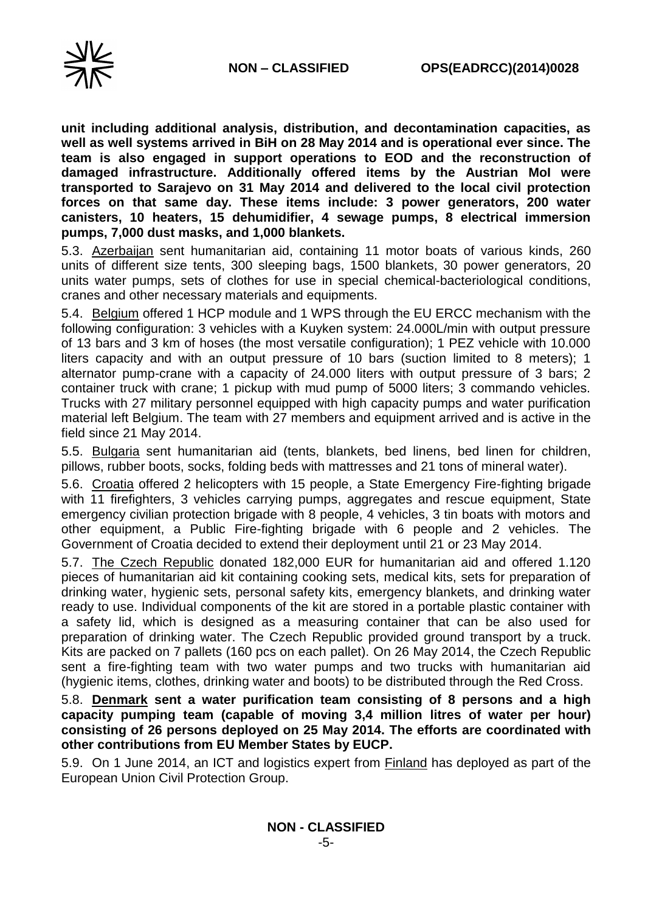

**unit including additional analysis, distribution, and decontamination capacities, as well as well systems arrived in BiH on 28 May 2014 and is operational ever since. The team is also engaged in support operations to EOD and the reconstruction of damaged infrastructure. Additionally offered items by the Austrian MoI were transported to Sarajevo on 31 May 2014 and delivered to the local civil protection forces on that same day. These items include: 3 power generators, 200 water canisters, 10 heaters, 15 dehumidifier, 4 sewage pumps, 8 electrical immersion pumps, 7,000 dust masks, and 1,000 blankets.**

5.3. Azerbaijan sent humanitarian aid, containing 11 motor boats of various kinds, 260 units of different size tents, 300 sleeping bags, 1500 blankets, 30 power generators, 20 units water pumps, sets of clothes for use in special chemical-bacteriological conditions, cranes and other necessary materials and equipments.

5.4. Belgium offered 1 HCP module and 1 WPS through the EU ERCC mechanism with the following configuration: 3 vehicles with a Kuyken system: 24.000L/min with output pressure of 13 bars and 3 km of hoses (the most versatile configuration); 1 PEZ vehicle with 10.000 liters capacity and with an output pressure of 10 bars (suction limited to 8 meters); 1 alternator pump-crane with a capacity of 24.000 liters with output pressure of 3 bars; 2 container truck with crane; 1 pickup with mud pump of 5000 liters; 3 commando vehicles. Trucks with 27 military personnel equipped with high capacity pumps and water purification material left Belgium. The team with 27 members and equipment arrived and is active in the field since 21 May 2014.

5.5. Bulgaria sent humanitarian aid (tents, blankets, bed linens, bed linen for children, pillows, rubber boots, socks, folding beds with mattresses and 21 tons of mineral water).

5.6. Croatia offered 2 helicopters with 15 people, a State Emergency Fire-fighting brigade with 11 firefighters, 3 vehicles carrying pumps, aggregates and rescue equipment, State emergency civilian protection brigade with 8 people, 4 vehicles, 3 tin boats with motors and other equipment, a Public Fire-fighting brigade with 6 people and 2 vehicles. The Government of Croatia decided to extend their deployment until 21 or 23 May 2014.

5.7. The Czech Republic donated 182,000 EUR for humanitarian aid and offered 1.120 pieces of humanitarian aid kit containing cooking sets, medical kits, sets for preparation of drinking water, hygienic sets, personal safety kits, emergency blankets, and drinking water ready to use. Individual components of the kit are stored in a portable plastic container with a safety lid, which is designed as a measuring container that can be also used for preparation of drinking water. The Czech Republic provided ground transport by a truck. Kits are packed on 7 pallets (160 pcs on each pallet). On 26 May 2014, the Czech Republic sent a fire-fighting team with two water pumps and two trucks with humanitarian aid (hygienic items, clothes, drinking water and boots) to be distributed through the Red Cross.

5.8. **Denmark sent a water purification team consisting of 8 persons and a high capacity pumping team (capable of moving 3,4 million litres of water per hour) consisting of 26 persons deployed on 25 May 2014. The efforts are coordinated with other contributions from EU Member States by EUCP.**

5.9. On 1 June 2014, an ICT and logistics expert from Finland has deployed as part of the European Union Civil Protection Group.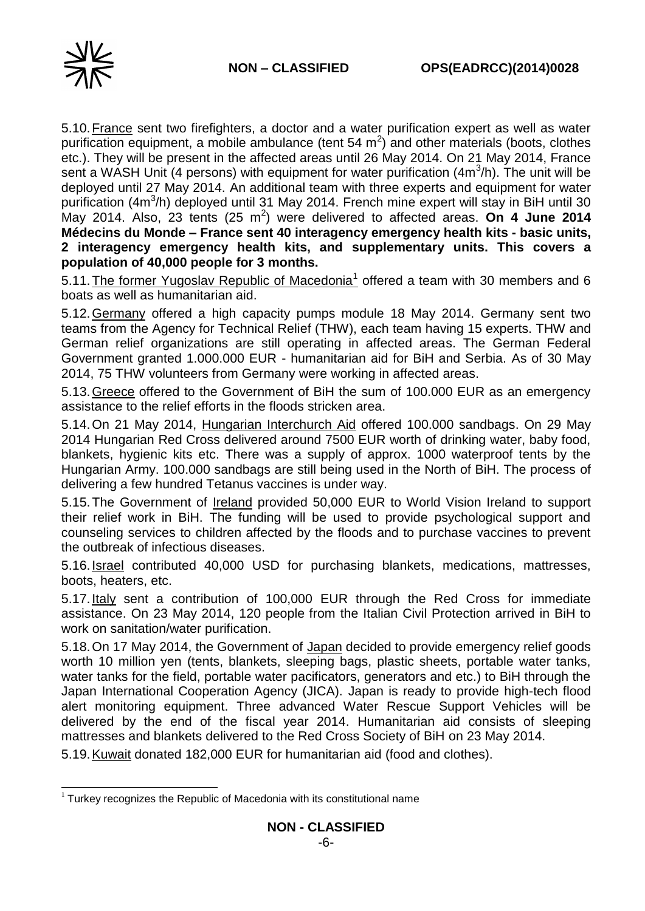

5.10.France sent two firefighters, a doctor and a water purification expert as well as water purification equipment, a mobile ambulance (tent 54  $m^2$ ) and other materials (boots, clothes etc.). They will be present in the affected areas until 26 May 2014. On 21 May 2014, France sent a WASH Unit (4 persons) with equipment for water purification (4m<sup>3</sup>/h). The unit will be deployed until 27 May 2014. An additional team with three experts and equipment for water purification (4m<sup>3</sup>/h) deployed until 31 May 2014. French mine expert will stay in BiH until 30 May 2014. Also, 23 tents (25 m<sup>2</sup>) were delivered to affected areas. On 4 June 2014 **Médecins du Monde – France sent 40 interagency emergency health kits - basic units, 2 interagency emergency health kits, and supplementary units. This covers a population of 40,000 people for 3 months.**

5.11. The former Yugoslav Republic of Macedonia<sup>1</sup> offered a team with 30 members and 6 boats as well as humanitarian aid.

5.12.Germany offered a high capacity pumps module 18 May 2014. Germany sent two teams from the Agency for Technical Relief (THW), each team having 15 experts. THW and German relief organizations are still operating in affected areas. The German Federal Government granted 1.000.000 EUR - humanitarian aid for BiH and Serbia. As of 30 May 2014, 75 THW volunteers from Germany were working in affected areas.

5.13.Greece offered to the Government of BiH the sum of 100.000 EUR as an emergency assistance to the relief efforts in the floods stricken area.

5.14.On 21 May 2014, Hungarian Interchurch Aid offered 100.000 sandbags. On 29 May 2014 Hungarian Red Cross delivered around 7500 EUR worth of drinking water, baby food, blankets, hygienic kits etc. There was a supply of approx. 1000 waterproof tents by the Hungarian Army. 100.000 sandbags are still being used in the North of BiH. The process of delivering a few hundred Tetanus vaccines is under way.

5.15.The Government of Ireland provided 50,000 EUR to World Vision Ireland to support their relief work in BiH. The funding will be used to provide psychological support and counseling services to children affected by the floods and to purchase vaccines to prevent the outbreak of infectious diseases.

5.16. **Israel** contributed 40,000 USD for purchasing blankets, medications, mattresses, boots, heaters, etc.

5.17.Italy sent a contribution of 100,000 EUR through the Red Cross for immediate assistance. On 23 May 2014, 120 people from the Italian Civil Protection arrived in BiH to work on sanitation/water purification.

5.18.On 17 May 2014, the Government of Japan decided to provide emergency relief goods worth 10 million yen (tents, blankets, sleeping bags, plastic sheets, portable water tanks, water tanks for the field, portable water pacificators, generators and etc.) to BiH through the Japan International Cooperation Agency (JICA). Japan is ready to provide high-tech flood alert monitoring equipment. Three advanced Water Rescue Support Vehicles will be delivered by the end of the fiscal year 2014. Humanitarian aid consists of sleeping mattresses and blankets delivered to the Red Cross Society of BiH on 23 May 2014.

5.19.Kuwait donated 182,000 EUR for humanitarian aid (food and clothes).

<sup>-</sup> $1$  Turkey recognizes the Republic of Macedonia with its constitutional name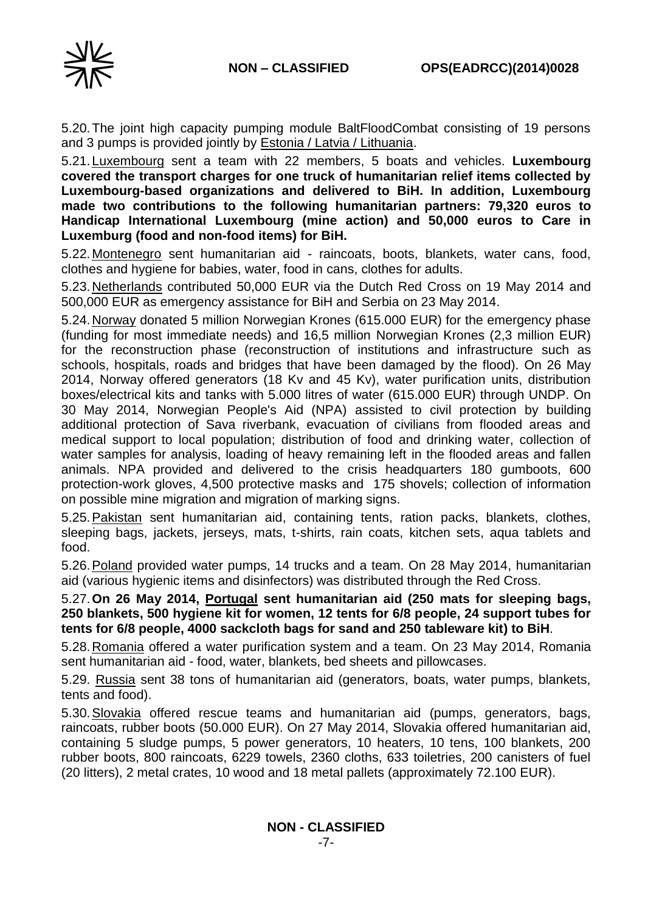

5.20.The joint high capacity pumping module BaltFloodCombat consisting of 19 persons and 3 pumps is provided jointly by **Estonia / Latvia / Lithuania.** 

5.21.Luxembourg sent a team with 22 members, 5 boats and vehicles. **Luxembourg covered the transport charges for one truck of humanitarian relief items collected by Luxembourg-based organizations and delivered to BiH. In addition, Luxembourg made two contributions to the following humanitarian partners: 79,320 euros to Handicap International Luxembourg (mine action) and 50,000 euros to Care in Luxemburg (food and non-food items) for BiH.**

5.22.Montenegro sent humanitarian aid - raincoats, boots, blankets, water cans, food, clothes and hygiene for babies, water, food in cans, clothes for adults.

5.23.Netherlands contributed 50,000 EUR via the Dutch Red Cross on 19 May 2014 and 500,000 EUR as emergency assistance for BiH and Serbia on 23 May 2014.

5.24. Norway donated 5 million Norwegian Krones (615.000 EUR) for the emergency phase (funding for most immediate needs) and 16,5 million Norwegian Krones (2,3 million EUR) for the reconstruction phase (reconstruction of institutions and infrastructure such as schools, hospitals, roads and bridges that have been damaged by the flood). On 26 May 2014, Norway offered generators (18 Kv and 45 Kv), water purification units, distribution boxes/electrical kits and tanks with 5.000 litres of water (615.000 EUR) through UNDP. On 30 May 2014, Norwegian People's Aid (NPA) assisted to civil protection by building additional protection of Sava riverbank, evacuation of civilians from flooded areas and medical support to local population; distribution of food and drinking water, collection of water samples for analysis, loading of heavy remaining left in the flooded areas and fallen animals. NPA provided and delivered to the crisis headquarters 180 gumboots, 600 protection-work gloves, 4,500 protective masks and 175 shovels; collection of information on possible mine migration and migration of marking signs.

5.25. Pakistan sent humanitarian aid, containing tents, ration packs, blankets, clothes, sleeping bags, jackets, jerseys, mats, t-shirts, rain coats, kitchen sets, aqua tablets and food.

5.26. Poland provided water pumps, 14 trucks and a team. On 28 May 2014, humanitarian aid (various hygienic items and disinfectors) was distributed through the Red Cross.

5.27.**On 26 May 2014, Portugal sent humanitarian aid (250 mats for sleeping bags, 250 blankets, 500 hygiene kit for women, 12 tents for 6/8 people, 24 support tubes for tents for 6/8 people, 4000 sackcloth bags for sand and 250 tableware kit) to BiH**.

5.28.Romania offered a water purification system and a team. On 23 May 2014, Romania sent humanitarian aid - food, water, blankets, bed sheets and pillowcases.

5.29. Russia sent 38 tons of humanitarian aid (generators, boats, water pumps, blankets, tents and food).

5.30.Slovakia offered rescue teams and humanitarian aid (pumps, generators, bags, raincoats, rubber boots (50.000 EUR). On 27 May 2014, Slovakia offered humanitarian aid, containing 5 sludge pumps, 5 power generators, 10 heaters, 10 tens, 100 blankets, 200 rubber boots, 800 raincoats, 6229 towels, 2360 cloths, 633 toiletries, 200 canisters of fuel (20 litters), 2 metal crates, 10 wood and 18 metal pallets (approximately 72.100 EUR).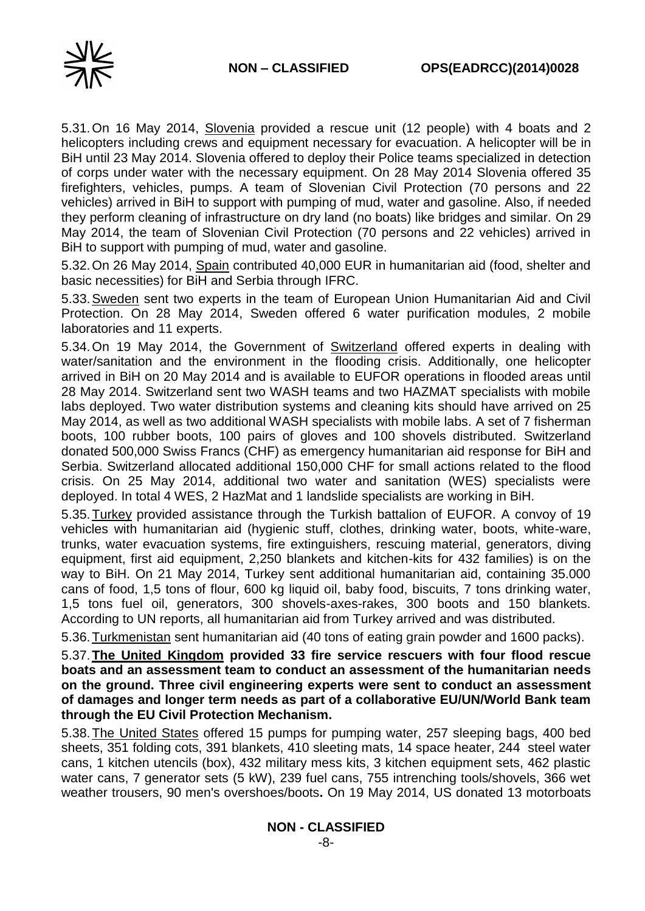

5.31.On 16 May 2014, Slovenia provided a rescue unit (12 people) with 4 boats and 2 helicopters including crews and equipment necessary for evacuation. A helicopter will be in BiH until 23 May 2014. Slovenia offered to deploy their Police teams specialized in detection of corps under water with the necessary equipment. On 28 May 2014 Slovenia offered 35 firefighters, vehicles, pumps. A team of Slovenian Civil Protection (70 persons and 22 vehicles) arrived in BiH to support with pumping of mud, water and gasoline. Also, if needed they perform cleaning of infrastructure on dry land (no boats) like bridges and similar. On 29 May 2014, the team of Slovenian Civil Protection (70 persons and 22 vehicles) arrived in BiH to support with pumping of mud, water and gasoline.

5.32.On 26 May 2014, Spain contributed 40,000 EUR in humanitarian aid (food, shelter and basic necessities) for BiH and Serbia through IFRC.

5.33.Sweden sent two experts in the team of European Union Humanitarian Aid and Civil Protection. On 28 May 2014, Sweden offered 6 water purification modules, 2 mobile laboratories and 11 experts.

5.34. On 19 May 2014, the Government of **Switzerland** offered experts in dealing with water/sanitation and the environment in the flooding crisis. Additionally, one helicopter arrived in BiH on 20 May 2014 and is available to EUFOR operations in flooded areas until 28 May 2014. Switzerland sent two WASH teams and two HAZMAT specialists with mobile labs deployed. Two water distribution systems and cleaning kits should have arrived on 25 May 2014, as well as two additional WASH specialists with mobile labs. A set of 7 fisherman boots, 100 rubber boots, 100 pairs of gloves and 100 shovels distributed. Switzerland donated 500,000 Swiss Francs (CHF) as emergency humanitarian aid response for BiH and Serbia. Switzerland allocated additional 150,000 CHF for small actions related to the flood crisis. On 25 May 2014, additional two water and sanitation (WES) specialists were deployed. In total 4 WES, 2 HazMat and 1 landslide specialists are working in BiH.

5.35.Turkey provided assistance through the Turkish battalion of EUFOR. A convoy of 19 vehicles with humanitarian aid (hygienic stuff, clothes, drinking water, boots, white-ware, trunks, water evacuation systems, fire extinguishers, rescuing material, generators, diving equipment, first aid equipment, 2,250 blankets and kitchen-kits for 432 families) is on the way to BiH. On 21 May 2014, Turkey sent additional humanitarian aid, containing 35.000 cans of food, 1,5 tons of flour, 600 kg liquid oil, baby food, biscuits, 7 tons drinking water, 1,5 tons fuel oil, generators, 300 shovels-axes-rakes, 300 boots and 150 blankets. According to UN reports, all humanitarian aid from Turkey arrived and was distributed.

5.36.Turkmenistan sent humanitarian aid (40 tons of eating grain powder and 1600 packs).

5.37.**The United Kingdom provided 33 fire service rescuers with four flood rescue boats and an assessment team to conduct an assessment of the humanitarian needs on the ground. Three civil engineering experts were sent to conduct an assessment of damages and longer term needs as part of a collaborative EU/UN/World Bank team through the EU Civil Protection Mechanism.**

5.38.The United States offered 15 pumps for pumping water, 257 sleeping bags, 400 bed sheets, 351 folding cots, 391 blankets, 410 sleeting mats, 14 space heater, 244 steel water cans, 1 kitchen utencils (box), 432 military mess kits, 3 kitchen equipment sets, 462 plastic water cans, 7 generator sets (5 kW), 239 fuel cans, 755 intrenching tools/shovels, 366 wet weather trousers, 90 men's overshoes/boots**.** On 19 May 2014, US donated 13 motorboats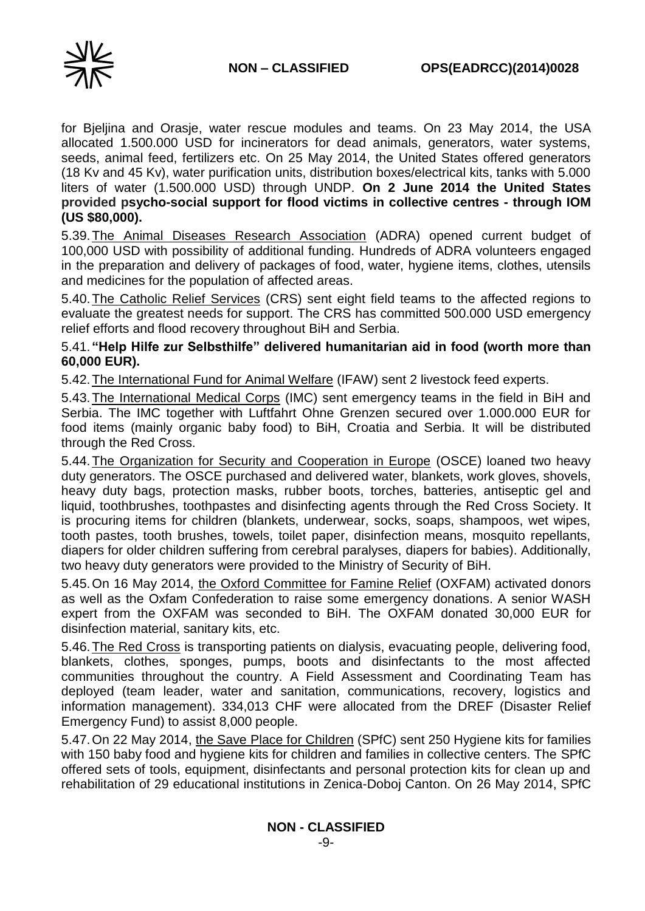

for Bjeljina and Orasje, water rescue modules and teams. On 23 May 2014, the USA allocated 1.500.000 USD for incinerators for dead animals, generators, water systems, seeds, animal feed, fertilizers etc. On 25 May 2014, the United States offered generators (18 Kv and 45 Kv), water purification units, distribution boxes/electrical kits, tanks with 5.000 liters of water (1.500.000 USD) through UNDP. **On 2 June 2014 the United States provided psycho-social support for flood victims in collective centres - through IOM (US \$80,000).**

5.39.The Animal Diseases Research Association (ADRA) opened current budget of 100,000 USD with possibility of additional funding. Hundreds of ADRA volunteers engaged in the preparation and delivery of packages of food, water, hygiene items, clothes, utensils and medicines for the population of affected areas.

5.40.The Catholic Relief Services (CRS) sent eight field teams to the affected regions to evaluate the greatest needs for support. The CRS has committed 500.000 USD emergency relief efforts and flood recovery throughout BiH and Serbia.

### 5.41. **"Help Hilfe zur Selbsthilfe" delivered humanitarian aid in food (worth more than 60,000 EUR).**

5.42.The International Fund for Animal Welfare (IFAW) sent 2 livestock feed experts.

5.43.The International Medical Corps (IMC) sent emergency teams in the field in BiH and Serbia. The IMC together with Luftfahrt Ohne Grenzen secured over 1.000.000 EUR for food items (mainly organic baby food) to BiH, Croatia and Serbia. It will be distributed through the Red Cross.

5.44.The Organization for Security and Cooperation in Europe (OSCE) loaned two heavy duty generators. The OSCE purchased and delivered water, blankets, work gloves, shovels, heavy duty bags, protection masks, rubber boots, torches, batteries, antiseptic gel and liquid, toothbrushes, toothpastes and disinfecting agents through the Red Cross Society. It is procuring items for children (blankets, underwear, socks, soaps, shampoos, wet wipes, tooth pastes, tooth brushes, towels, toilet paper, disinfection means, mosquito repellants, diapers for older children suffering from cerebral paralyses, diapers for babies). Additionally, two heavy duty generators were provided to the Ministry of Security of BiH.

5.45.On 16 May 2014, the Oxford Committee for Famine Relief (OXFAM) activated donors as well as the Oxfam Confederation to raise some emergency donations. A senior WASH expert from the OXFAM was seconded to BiH. The OXFAM donated 30,000 EUR for disinfection material, sanitary kits, etc.

5.46.The Red Cross is transporting patients on dialysis, evacuating people, delivering food, blankets, clothes, sponges, pumps, boots and disinfectants to the most affected communities throughout the country. A Field Assessment and Coordinating Team has deployed (team leader, water and sanitation, communications, recovery, logistics and information management). 334,013 CHF were allocated from the DREF (Disaster Relief Emergency Fund) to assist 8,000 people.

5.47.On 22 May 2014, the Save Place for Children (SPfC) sent 250 Hygiene kits for families with 150 baby food and hygiene kits for children and families in collective centers. The SPfC offered sets of tools, equipment, disinfectants and personal protection kits for clean up and rehabilitation of 29 educational institutions in Zenica-Doboj Canton. On 26 May 2014, SPfC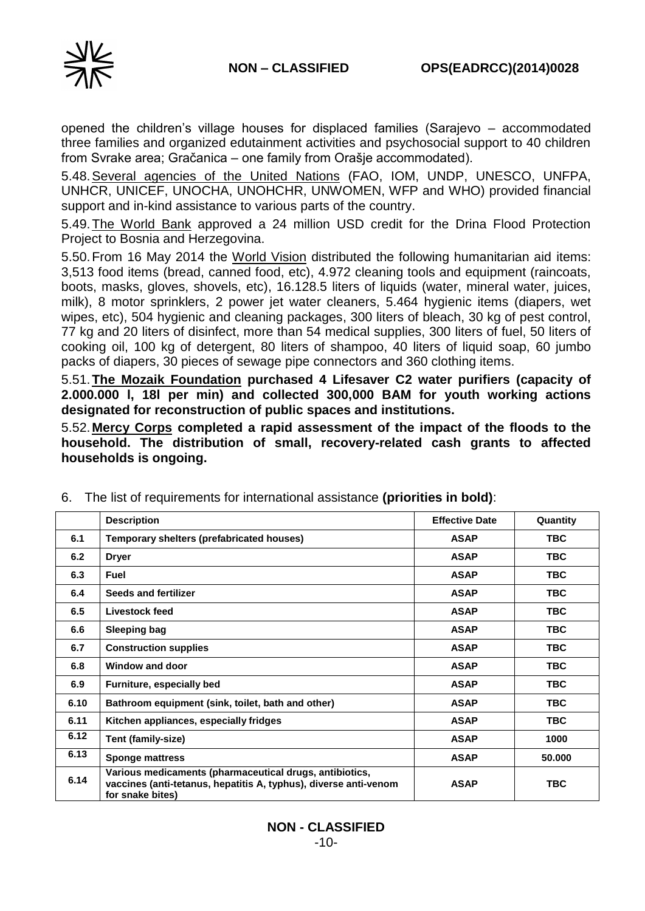

opened the children's village houses for displaced families (Sarajevo – accommodated three families and organized edutainment activities and psychosocial support to 40 children from Svrake area; Gračanica – one family from Orašje accommodated).

5.48.Several agencies of the United Nations (FAO, IOM, UNDP, UNESCO, UNFPA, UNHCR, UNICEF, UNOCHA, UNOHCHR, UNWOMEN, WFP and WHO) provided financial support and in-kind assistance to various parts of the country.

5.49.The World Bank approved a 24 million USD credit for the Drina Flood Protection Project to Bosnia and Herzegovina.

5.50.From 16 May 2014 the World Vision distributed the following humanitarian aid items: 3,513 food items (bread, canned food, etc), 4.972 cleaning tools and equipment (raincoats, boots, masks, gloves, shovels, etc), 16.128.5 liters of liquids (water, mineral water, juices, milk), 8 motor sprinklers, 2 power jet water cleaners, 5.464 hygienic items (diapers, wet wipes, etc), 504 hygienic and cleaning packages, 300 liters of bleach, 30 kg of pest control, 77 kg and 20 liters of disinfect, more than 54 medical supplies, 300 liters of fuel, 50 liters of cooking oil, 100 kg of detergent, 80 liters of shampoo, 40 liters of liquid soap, 60 jumbo packs of diapers, 30 pieces of sewage pipe connectors and 360 clothing items.

5.51.**The Mozaik Foundation purchased 4 Lifesaver C2 water purifiers (capacity of 2.000.000 l, 18l per min) and collected 300,000 BAM for youth working actions designated for reconstruction of public spaces and institutions.**

5.52.**Mercy Corps completed a rapid assessment of the impact of the floods to the household. The distribution of small, recovery-related cash grants to affected households is ongoing.** 

|      | <b>Description</b>                                                                                                                              | <b>Effective Date</b> | Quantity   |
|------|-------------------------------------------------------------------------------------------------------------------------------------------------|-----------------------|------------|
| 6.1  | Temporary shelters (prefabricated houses)                                                                                                       | <b>ASAP</b>           | <b>TBC</b> |
| 6.2  | <b>Dryer</b>                                                                                                                                    | <b>ASAP</b>           | <b>TBC</b> |
| 6.3  | <b>Fuel</b>                                                                                                                                     | <b>ASAP</b>           | TBC.       |
| 6.4  | Seeds and fertilizer                                                                                                                            | <b>ASAP</b>           | <b>TBC</b> |
| 6.5  | Livestock feed                                                                                                                                  | <b>ASAP</b>           | TBC.       |
| 6.6  | <b>Sleeping bag</b>                                                                                                                             | <b>ASAP</b>           | TBC.       |
| 6.7  | <b>Construction supplies</b>                                                                                                                    | <b>ASAP</b>           | <b>TBC</b> |
| 6.8  | <b>Window and door</b>                                                                                                                          | <b>ASAP</b>           | <b>TBC</b> |
| 6.9  | Furniture, especially bed                                                                                                                       | <b>ASAP</b>           | <b>TBC</b> |
| 6.10 | Bathroom equipment (sink, toilet, bath and other)                                                                                               | <b>ASAP</b>           | <b>TBC</b> |
| 6.11 | Kitchen appliances, especially fridges                                                                                                          | <b>ASAP</b>           | TBC.       |
| 6.12 | Tent (family-size)                                                                                                                              | <b>ASAP</b>           | 1000       |
| 6.13 | <b>Sponge mattress</b>                                                                                                                          | <b>ASAP</b>           | 50.000     |
| 6.14 | Various medicaments (pharmaceutical drugs, antibiotics,<br>vaccines (anti-tetanus, hepatitis A, typhus), diverse anti-venom<br>for snake bites) | <b>ASAP</b>           | <b>TBC</b> |

6. The list of requirements for international assistance **(priorities in bold)**: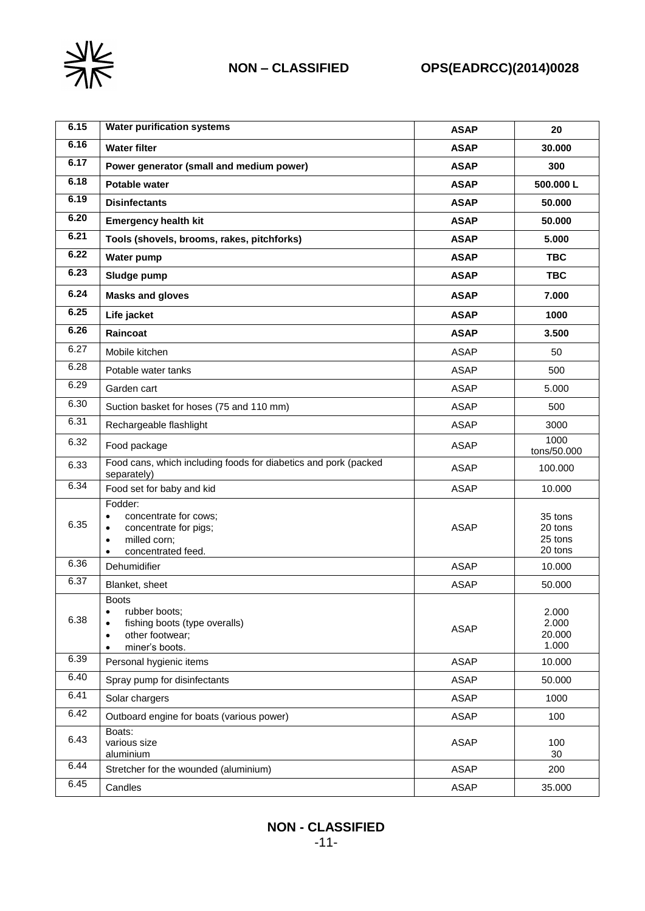

| 6.15 | <b>Water purification systems</b>                                                                                                                   | <b>ASAP</b> | 20                                       |
|------|-----------------------------------------------------------------------------------------------------------------------------------------------------|-------------|------------------------------------------|
| 6.16 | <b>Water filter</b>                                                                                                                                 | <b>ASAP</b> | 30.000                                   |
| 6.17 | Power generator (small and medium power)                                                                                                            | <b>ASAP</b> | 300                                      |
| 6.18 | <b>Potable water</b>                                                                                                                                | <b>ASAP</b> | 500.000L                                 |
| 6.19 | <b>Disinfectants</b>                                                                                                                                | <b>ASAP</b> | 50.000                                   |
| 6.20 | <b>Emergency health kit</b>                                                                                                                         | <b>ASAP</b> | 50.000                                   |
| 6.21 | Tools (shovels, brooms, rakes, pitchforks)                                                                                                          | <b>ASAP</b> | 5.000                                    |
| 6.22 | Water pump                                                                                                                                          | <b>ASAP</b> | <b>TBC</b>                               |
| 6.23 | Sludge pump                                                                                                                                         | <b>ASAP</b> | <b>TBC</b>                               |
| 6.24 | <b>Masks and gloves</b>                                                                                                                             | <b>ASAP</b> | 7.000                                    |
| 6.25 | Life jacket                                                                                                                                         | <b>ASAP</b> | 1000                                     |
| 6.26 | Raincoat                                                                                                                                            | <b>ASAP</b> | 3.500                                    |
| 6.27 | Mobile kitchen                                                                                                                                      | <b>ASAP</b> | 50                                       |
| 6.28 | Potable water tanks                                                                                                                                 | <b>ASAP</b> | 500                                      |
| 6.29 | Garden cart                                                                                                                                         | <b>ASAP</b> | 5.000                                    |
| 6.30 | Suction basket for hoses (75 and 110 mm)                                                                                                            | <b>ASAP</b> | 500                                      |
| 6.31 | Rechargeable flashlight                                                                                                                             | <b>ASAP</b> | 3000                                     |
| 6.32 | Food package                                                                                                                                        | <b>ASAP</b> | 1000<br>tons/50.000                      |
| 6.33 | Food cans, which including foods for diabetics and pork (packed<br>separately)                                                                      | <b>ASAP</b> | 100.000                                  |
| 6.34 | Food set for baby and kid                                                                                                                           | <b>ASAP</b> | 10.000                                   |
| 6.35 | Fodder:<br>concentrate for cows;<br>$\bullet$<br>concentrate for pigs;<br>$\bullet$<br>milled corn;<br>$\bullet$<br>concentrated feed.<br>$\bullet$ | <b>ASAP</b> | 35 tons<br>20 tons<br>25 tons<br>20 tons |
| 6.36 | Dehumidifier                                                                                                                                        | <b>ASAP</b> | 10.000                                   |
| 6.37 | Blanket, sheet                                                                                                                                      | <b>ASAP</b> | 50.000                                   |
| 6.38 | <b>Boots</b><br>rubber boots;<br>$\bullet$<br>fishing boots (type overalls)<br>other footwear;<br>٠<br>miner's boots.<br>$\bullet$                  | <b>ASAP</b> | 2.000<br>2.000<br>20.000<br>1.000        |
| 6.39 | Personal hygienic items                                                                                                                             | <b>ASAP</b> | 10.000                                   |
| 6.40 | Spray pump for disinfectants                                                                                                                        | <b>ASAP</b> | 50.000                                   |
| 6.41 | Solar chargers                                                                                                                                      | <b>ASAP</b> | 1000                                     |
| 6.42 | Outboard engine for boats (various power)                                                                                                           | <b>ASAP</b> | 100                                      |
| 6.43 | Boats:<br>various size<br>aluminium                                                                                                                 | <b>ASAP</b> | 100<br>30                                |
| 6.44 | Stretcher for the wounded (aluminium)                                                                                                               | <b>ASAP</b> | 200                                      |
| 6.45 | Candles                                                                                                                                             | <b>ASAP</b> | 35.000                                   |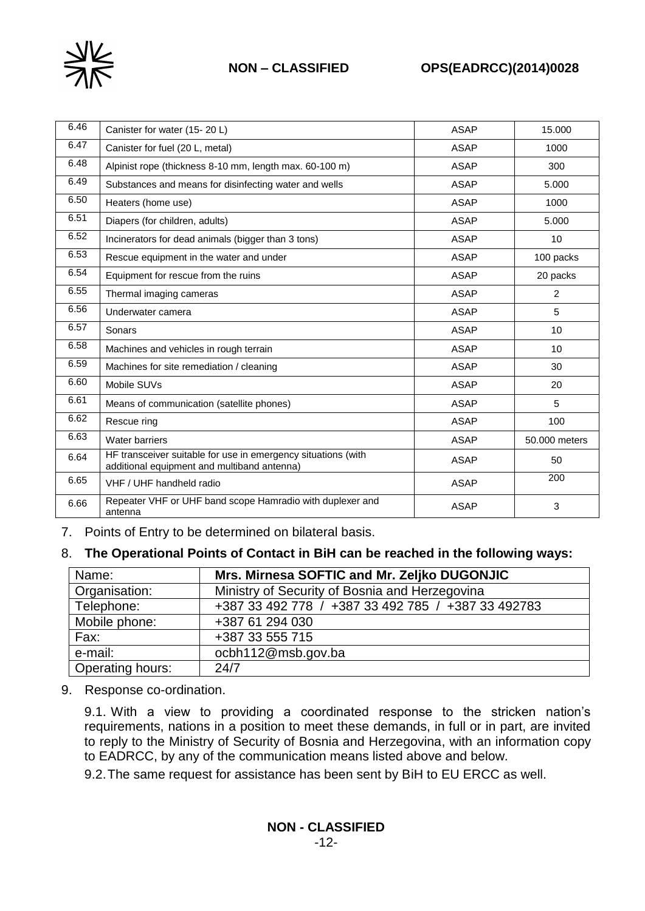

## **NON – CLASSIFIED OPS(EADRCC)(2014)0028**

| 6.46 | Canister for water (15-20 L)                                                                                 | <b>ASAP</b> | 15.000         |
|------|--------------------------------------------------------------------------------------------------------------|-------------|----------------|
| 6.47 | Canister for fuel (20 L, metal)                                                                              | <b>ASAP</b> | 1000           |
| 6.48 | Alpinist rope (thickness 8-10 mm, length max. 60-100 m)                                                      | <b>ASAP</b> | 300            |
| 6.49 | Substances and means for disinfecting water and wells                                                        | <b>ASAP</b> | 5.000          |
| 6.50 | Heaters (home use)                                                                                           | <b>ASAP</b> | 1000           |
| 6.51 | Diapers (for children, adults)                                                                               | <b>ASAP</b> | 5.000          |
| 6.52 | Incinerators for dead animals (bigger than 3 tons)                                                           | ASAP        | 10             |
| 6.53 | Rescue equipment in the water and under                                                                      | <b>ASAP</b> | 100 packs      |
| 6.54 | Equipment for rescue from the ruins                                                                          | <b>ASAP</b> | 20 packs       |
| 6.55 | Thermal imaging cameras                                                                                      | <b>ASAP</b> | $\overline{2}$ |
| 6.56 | Underwater camera                                                                                            | <b>ASAP</b> | 5              |
| 6.57 | Sonars                                                                                                       | <b>ASAP</b> | 10             |
| 6.58 | Machines and vehicles in rough terrain                                                                       | ASAP        | 10             |
| 6.59 | Machines for site remediation / cleaning                                                                     | <b>ASAP</b> | 30             |
| 6.60 | Mobile SUVs                                                                                                  | <b>ASAP</b> | 20             |
| 6.61 | Means of communication (satellite phones)                                                                    | <b>ASAP</b> | 5              |
| 6.62 | Rescue ring                                                                                                  | <b>ASAP</b> | 100            |
| 6.63 | Water barriers                                                                                               | <b>ASAP</b> | 50,000 meters  |
| 6.64 | HF transceiver suitable for use in emergency situations (with<br>additional equipment and multiband antenna) | <b>ASAP</b> | 50             |
| 6.65 | VHF / UHF handheld radio                                                                                     | <b>ASAP</b> | 200            |
| 6.66 | Repeater VHF or UHF band scope Hamradio with duplexer and<br>antenna                                         | <b>ASAP</b> | 3              |

7. Points of Entry to be determined on bilateral basis.

### 8. **The Operational Points of Contact in BiH can be reached in the following ways:**

| Name:                   | Mrs. Mirnesa SOFTIC and Mr. Zeljko DUGONJIC        |
|-------------------------|----------------------------------------------------|
| Organisation:           | Ministry of Security of Bosnia and Herzegovina     |
| Telephone:              | +387 33 492 778 / +387 33 492 785 / +387 33 492783 |
| Mobile phone:           | +387 61 294 030                                    |
| Fax:                    | +387 33 555 715                                    |
| e-mail:                 | ocbh112@msb.gov.ba                                 |
| <b>Operating hours:</b> | 24/7                                               |

9. Response co-ordination.

9.1. With a view to providing a coordinated response to the stricken nation's requirements, nations in a position to meet these demands, in full or in part, are invited to reply to the Ministry of Security of Bosnia and Herzegovina, with an information copy to EADRCC, by any of the communication means listed above and below.

9.2.The same request for assistance has been sent by BiH to EU ERCC as well.